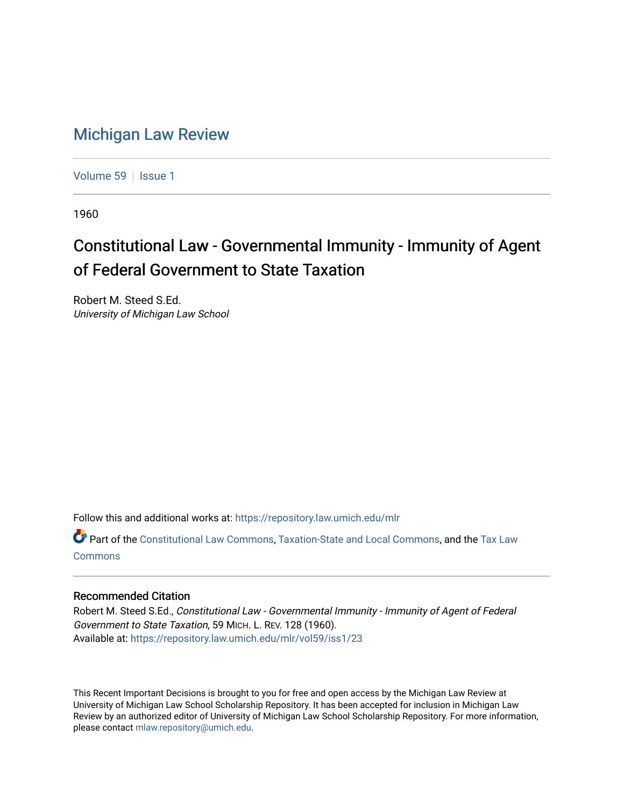## [Michigan Law Review](https://repository.law.umich.edu/mlr)

[Volume 59](https://repository.law.umich.edu/mlr/vol59) | [Issue 1](https://repository.law.umich.edu/mlr/vol59/iss1)

1960

## Constitutional Law - Governmental Immunity - Immunity of Agent of Federal Government to State Taxation

Robert M. Steed S.Ed. University of Michigan Law School

Follow this and additional works at: [https://repository.law.umich.edu/mlr](https://repository.law.umich.edu/mlr?utm_source=repository.law.umich.edu%2Fmlr%2Fvol59%2Fiss1%2F23&utm_medium=PDF&utm_campaign=PDFCoverPages) 

Part of the [Constitutional Law Commons,](http://network.bepress.com/hgg/discipline/589?utm_source=repository.law.umich.edu%2Fmlr%2Fvol59%2Fiss1%2F23&utm_medium=PDF&utm_campaign=PDFCoverPages) [Taxation-State and Local Commons,](http://network.bepress.com/hgg/discipline/882?utm_source=repository.law.umich.edu%2Fmlr%2Fvol59%2Fiss1%2F23&utm_medium=PDF&utm_campaign=PDFCoverPages) and the [Tax Law](http://network.bepress.com/hgg/discipline/898?utm_source=repository.law.umich.edu%2Fmlr%2Fvol59%2Fiss1%2F23&utm_medium=PDF&utm_campaign=PDFCoverPages) [Commons](http://network.bepress.com/hgg/discipline/898?utm_source=repository.law.umich.edu%2Fmlr%2Fvol59%2Fiss1%2F23&utm_medium=PDF&utm_campaign=PDFCoverPages)

## Recommended Citation

Robert M. Steed S.Ed., Constitutional Law - Governmental Immunity - Immunity of Agent of Federal Government to State Taxation, 59 MICH. L. REV. 128 (1960). Available at: [https://repository.law.umich.edu/mlr/vol59/iss1/23](https://repository.law.umich.edu/mlr/vol59/iss1/23?utm_source=repository.law.umich.edu%2Fmlr%2Fvol59%2Fiss1%2F23&utm_medium=PDF&utm_campaign=PDFCoverPages) 

This Recent Important Decisions is brought to you for free and open access by the Michigan Law Review at University of Michigan Law School Scholarship Repository. It has been accepted for inclusion in Michigan Law Review by an authorized editor of University of Michigan Law School Scholarship Repository. For more information, please contact [mlaw.repository@umich.edu.](mailto:mlaw.repository@umich.edu)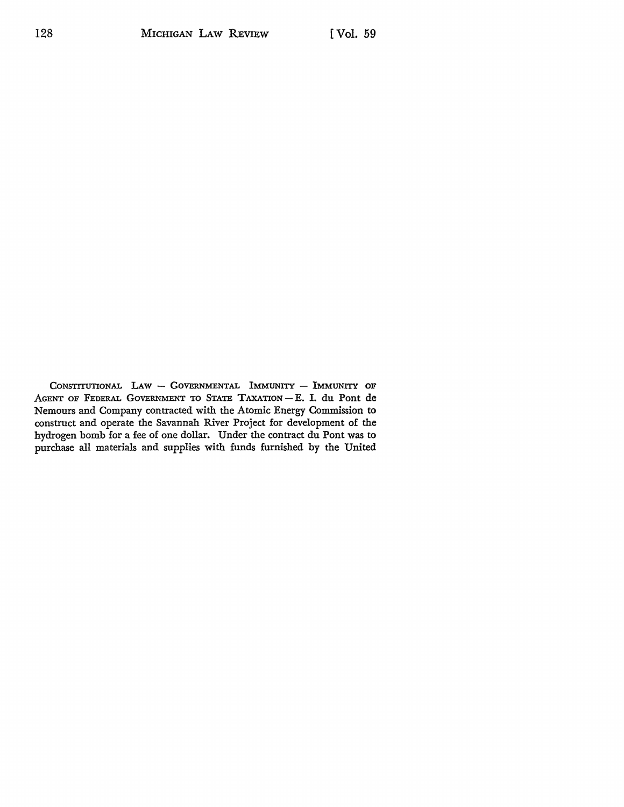CONSTITUTIONAL  $Law - Gover$ MERNMENTAL IMMUNITY - IMMUNITY OF AGENT OF FEDERAL GOVERNMENT TO STATE TAXATION - E. I. du Pont de Nemours and Company contracted with the Atomic Energy Commission to construct and operate the Savannah River Project for development of the hydrogen bomb for a fee of one dollar. Under the contract du Pont was to purchase all materials and supplies with funds furnished by the United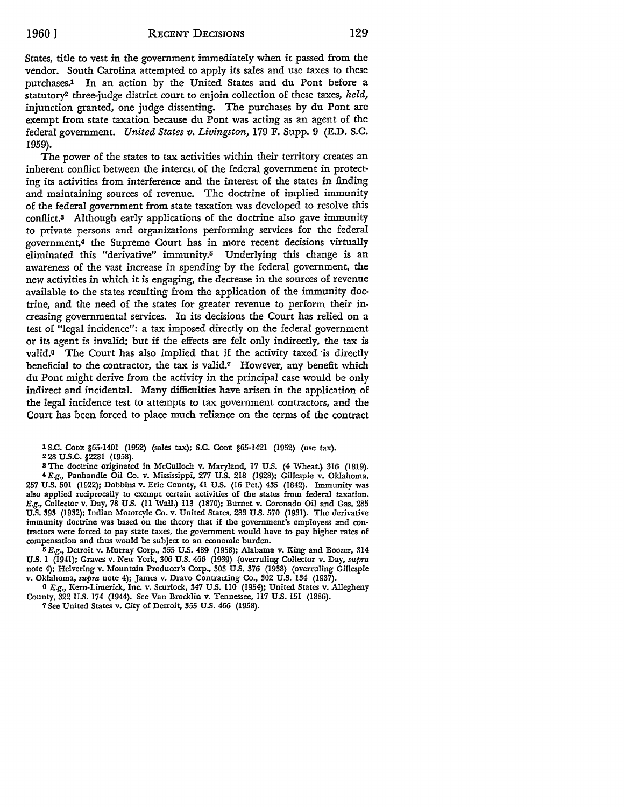States, title to vest in the government immediately when it passed from the vendor. South Carolina attempted to apply its sales and use taxes to these purchases.1 In an action by the United States and du Pont before a statutory2 three-judge district court to enjoin collection of these taxes, *held,*  injunction granted, one judge dissenting. The purchases by du Pont are exempt from state taxation because du Pont was acting as an agent of the federal government. *United States v. Livingston,* 179 F. Supp. 9 (E.D. **S.C.**  1959).

The power of the states to tax activities within their territory creates an inherent conflict between the interest of the federal government in protecting its activities from interference and the interest of the states in finding and maintaining sources of revenue. The doctrine of implied immunity of the federal government from state taxation was developed to resolve this conflict.<sup>3</sup> Although early applications of the doctrine also gave immunity to private persons and organizations performing services for the federal government,4 the Supreme Court has in more recent decisions virtually eliminated this "derivative" immunity.5 Underlying this change is an awareness of the vast increase in spending by the federal government, the new activities in which it is engaging, the decrease in the sources of revenue available to the states resulting from the application of the immunity doctrine, and the need of the states for greater revenue to perform their increasing governmental services. In its decisions the Court has relied on a test of "legal incidence": a tax imposed directly on the federal government or its agent is invalid; but if the effects are felt only indirectly, the tax is valid.<sup>6</sup> The Court has also implied that if the activity taxed is directly beneficial to the contractor, the tax is valid.7 However, any benefit which du Pont might derive from the activity in the principal case would be only indirect and incidental. Many difficulties have arisen in the application of the legal incidence test to attempts *to* tax government contractors, and the Court has been forced to place much reliance on the terms of the contract

l s.c. CODE §65-1401 (1952) (sales tax); s.c. CODE §65-1421 (1952) (use tax). 228 u.s.c. §2281 (1958).

<sup>8</sup>The doctrine originated in McCulloch v. Maryland, 17 U.S. (4 Wheat.) 316 (1819). 4 E.g., Panhandle Oil Co. v. Mississippi, 277 U.S. 218 (1928); Gillespie v. Oklahoma, 257 U.S. 501 (1922); Dobbins v. Erie County, 41 U.S. (16 Pet.) 435 (1842). Immunity was also applied reciprocally to exempt certain activities of tbe states from federal taxation. E.g., Collector v. Day, 78 U.S. (11 Wall.) 113 (1870); Burnet v. Coronado Oil and Gas, 285 U.S. 393 (1932); Indian Motorcyle Co. v. United States, 283 U.S. 570 (1931). The derivative immunity doctrine was based on the theory that if the government's employees and contractors were forced to pay state taxes, tbe government would have to pay higher rates of compensation and tbus would be subject to an economic burden.

 $5E.g.,$  Detroit v. Murray Corp., 355 U.S. 489 (1958); Alabama v. King and Boozer, 314 U.S. 1 (1941); Graves v. New York, 306 U.S. 466 (1939) (overruling Collector v. Day, *supra*  note 4); Helvering v. Mountain Producer's Corp., 303 U.S. 376 (1938) (overruling Gillespie v. Oklahoma, *supra* note 4); James v. Dravo Contracting Co., 302 U.S. 134 (1937).

6 E.g., Kem-Limerick, Inc. v. Scurlock, 347 U.S. 110 (1954); United States v. Allegheny County, 322 U.S. 174 (1944). See Van Bracklin v. Tennessee, 117 U.S. 151 (1886),

*1* See United States v. City of Detroit, 355 U.S. 466 (1958).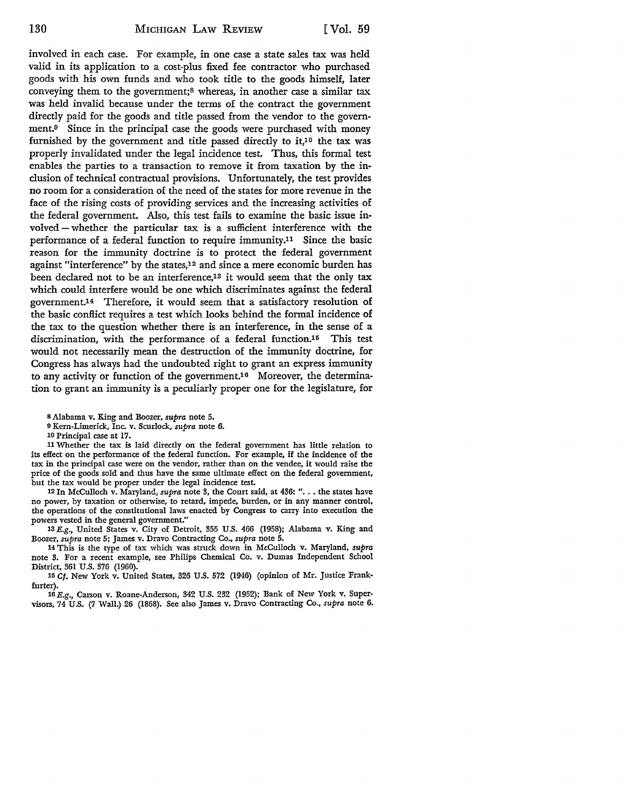involved in each case. For example, in one case a state sales tax was held valid in its application to a cost-plus fixed fee contractor who purchased goods with his own funds and who took title to the goods himself, later conveying them to the government;8 whereas, in another case a similar tax was held invalid because under the terms of the contract the government directly paid for the goods and title passed from the vendor to the government.9 Since in the principal case the goods were purchased with money furnished by the government and title passed directly to it,<sup>10</sup> the tax was properly invalidated under the legal incidence test. Thus, this formal test enables the parties to a transaction to remove it from taxation by the inclusion of technical contractual provisions. Unfortunately, the test provides no room for a consideration of the need of the states for more revenue in the face of the rising costs of providing services and the increasing activities of the federal government. Also, this test fails to examine the basic issue involved - whether the particular tax is a sufficient interference with the performance of a federal function to require immunity.11 Since the basic reason for the immunity doctrine is to protect the federal government against "interference" by the states,12 and since a mere economic burden has been declared not to be an interference,13 it would seem that the only tax which could interfere would be one which discriminates against the federal government.14 Therefore, it would seem that a satisfactory resolution of the basic conflict requires a test which looks behind the formal incidence of the tax to the question whether there is an interference, in the sense of a discrimination, with the performance of a federal function.<sup>15</sup> This test would not necessarily mean the destruction of the immunity doctrine, for Congress has always had the undoubted right to grant an express immunity to any activity or function of the government.<sup>16</sup> Moreover, the determination to grant an immunity is a peculiarly proper one for the legislature, for

11 Whether the tax is laid directly on the federal government has little relation to its effect on the performance of the federal function. For example, if the incidence of the tax in the principal case were on the vendor, rather than on the vendee, it would raise the price of the goods sold and thus have the same ultimate effect on the federal government, but the tax would be proper under the legal incidence test.

<sup>12</sup>In McCulloch v. Maryland, *supra* note 3, the Court said, at 436: " ... the states have no power, by taxation or otherwise, to retard, impede, burden, or in any manner control, the operations of the constitutional laws enacted by Congress to carry into execution the powers vested in the general government."

13 E.g., United States v. City of Detroit, 355 U.S. 466 (1958); Alabama v. King and Boozer, *supra* note 5; James v. Dravo Contracting Co., *supra* note 5.

14 This is the type of tax which was struck down in McCulloch v. Maryland, *supra*  note 3. For a recent example, see Philips Chemical Co. v. Dumas Independent School District, 361 U.S. 376 (1960).

15 Cf. New York v. United States, 326 U.S. 572 (1946) (opinion of Mr. Justice Frankfurter).

16E.g., Carson v. Roane-Anderson, 342 U.S. 232 (1952); Bank of New York v. Supervisors, 74 U.S. (7 Wall.) 26 (1868). See also James v. Dravo Contracting Co., *supra* note 6.

s Alabama v. King and Boozer, *supra* note 5.

<sup>9</sup>Kern-Limerick, Inc. v. Scurlock, *supra* note 6.

<sup>10</sup> Principal case at 17.